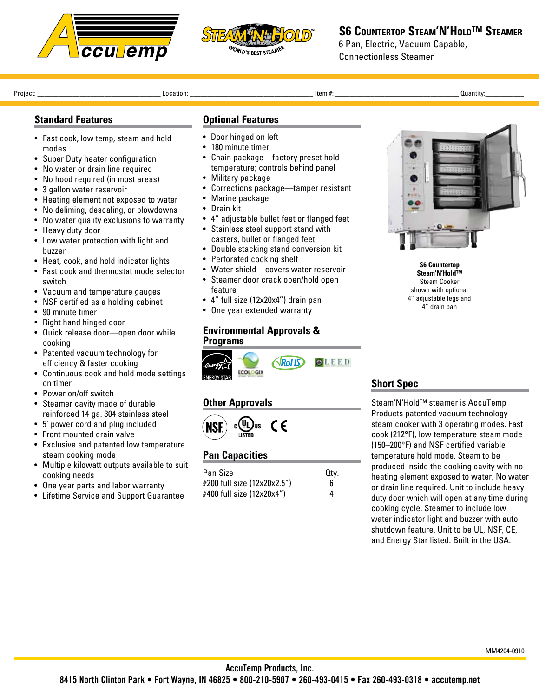



**S6 Countertop Steam'N'Hold™ Steamer**

6 Pan, Electric, Vacuum Capable, Connectionless Steamer

Project: \_\_\_\_\_\_\_\_\_\_\_\_\_\_\_\_\_\_\_\_\_\_\_\_\_\_\_\_\_\_\_\_\_\_\_ Location: \_\_\_\_\_\_\_\_\_\_\_\_\_\_\_\_\_\_\_\_\_\_\_\_\_\_\_\_\_\_\_\_\_\_\_ Item #: \_\_\_\_\_\_\_\_\_\_\_\_\_\_\_\_\_\_\_\_\_\_\_\_\_\_\_\_\_\_\_\_\_\_\_ Quantity:\_\_\_\_\_\_\_\_\_\_\_ 

### **Standard Features**

- Fast cook, low temp, steam and hold modes
- Super Duty heater configuration
- No water or drain line required
- No hood required (in most areas)
- 3 gallon water reservoir
- Heating element not exposed to water
- No deliming, descaling, or blowdowns
- No water quality exclusions to warranty
- Heavy duty door
- Low water protection with light and buzzer
- Heat, cook, and hold indicator lights
- • Fast cook and thermostat mode selector switch
- Vacuum and temperature gauges
- NSF certified as a holding cabinet
- 90 minute timer
- Right hand hinged door
- • Quick release door—open door while cooking
- Patented vacuum technology for efficiency & faster cooking
- • Continuous cook and hold mode settings on timer
- • Power on/off switch
- Steamer cavity made of durable reinforced 14 ga. 304 stainless steel
- • 5' power cord and plug included
- • Front mounted drain valve
- • Exclusive and patented low temperature steam cooking mode
- • Multiple kilowatt outputs available to suit cooking needs
- One year parts and labor warranty
- • Lifetime Service and Support Guarantee

### **Optional Features**

- • Door hinged on left
- 180 minute timer
- • Chain package—factory preset hold temperature; controls behind panel
- Military package
- • Corrections package—tamper resistant
- Marine package
- • Drain kit
- • 4" adjustable bullet feet or flanged feet
- Stainless steel support stand with casters, bullet or flanged feet
- • Double stacking stand conversion kit
- Perforated cooking shelf
- • Water shield—covers water reservoir
- • Steamer door crack open/hold open feature
- • 4" full size (12x20x4") drain pan
- One year extended warranty

#### **Environmental Approvals & Programs**



# **Other Approvals**



| Pan Size                    | Qtv. |
|-----------------------------|------|
| #200 full size (12x20x2.5") | 6    |
| #400 full size (12x20x4")   | 4    |



**S6 Countertop Steam'N'Hold™** Steam Cooker shown with optional 4" adjustable legs and 4" drain pan

# **Short Spec**

Steam'N'Hold™ steamer is AccuTemp Products patented vacuum technology steam cooker with 3 operating modes. Fast cook (212°F), low temperature steam mode (150–200°F) and NSF certified variable temperature hold mode. Steam to be produced inside the cooking cavity with no heating element exposed to water. No water or drain line required. Unit to include heavy duty door which will open at any time during cooking cycle. Steamer to include low water indicator light and buzzer with auto shutdown feature. Unit to be UL, NSF, CE, and Energy Star listed. Built in the USA.

**Pan Capacities**